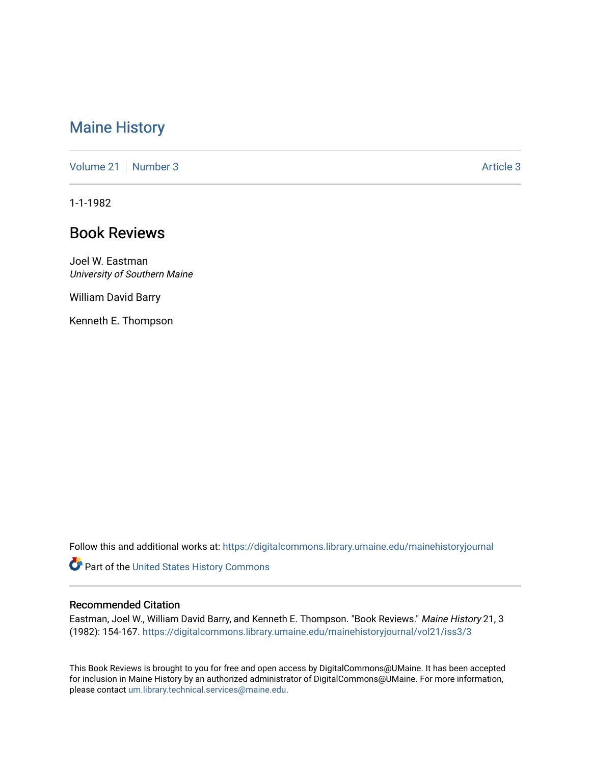# [Maine History](https://digitalcommons.library.umaine.edu/mainehistoryjournal)

[Volume 21](https://digitalcommons.library.umaine.edu/mainehistoryjournal/vol21) | [Number 3](https://digitalcommons.library.umaine.edu/mainehistoryjournal/vol21/iss3) [Article 3](https://digitalcommons.library.umaine.edu/mainehistoryjournal/vol21/iss3/3) Article 3

1-1-1982

# Book Reviews

Joel W. Eastman University of Southern Maine

William David Barry

Kenneth E. Thompson

Follow this and additional works at: [https://digitalcommons.library.umaine.edu/mainehistoryjournal](https://digitalcommons.library.umaine.edu/mainehistoryjournal?utm_source=digitalcommons.library.umaine.edu%2Fmainehistoryjournal%2Fvol21%2Fiss3%2F3&utm_medium=PDF&utm_campaign=PDFCoverPages) 

Part of the [United States History Commons](http://network.bepress.com/hgg/discipline/495?utm_source=digitalcommons.library.umaine.edu%2Fmainehistoryjournal%2Fvol21%2Fiss3%2F3&utm_medium=PDF&utm_campaign=PDFCoverPages) 

#### Recommended Citation

Eastman, Joel W., William David Barry, and Kenneth E. Thompson. "Book Reviews." Maine History 21, 3 (1982): 154-167. [https://digitalcommons.library.umaine.edu/mainehistoryjournal/vol21/iss3/3](https://digitalcommons.library.umaine.edu/mainehistoryjournal/vol21/iss3/3?utm_source=digitalcommons.library.umaine.edu%2Fmainehistoryjournal%2Fvol21%2Fiss3%2F3&utm_medium=PDF&utm_campaign=PDFCoverPages) 

This Book Reviews is brought to you for free and open access by DigitalCommons@UMaine. It has been accepted for inclusion in Maine History by an authorized administrator of DigitalCommons@UMaine. For more information, please contact [um.library.technical.services@maine.edu.](mailto:um.library.technical.services@maine.edu)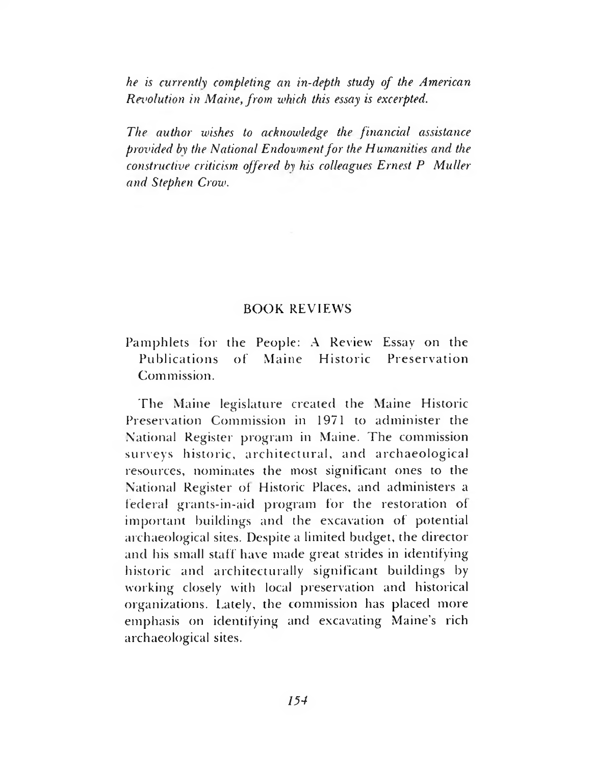*he is currently completing an in-depth study of the American Rei'olution in Maine, from which this essay is excerpted.*

*The author wishes to acknowledge the financial assistance provided by the National Endowment for the Humanities and the constructive criticism offered by his colleagues Ernest P Muller and Stephen Crow.*

### BOOK REVIEWS

Pamphlets for the People: A Review Essay on the Publications of Maine Historic Preservation Commission.

The Maine legislature created the Maine Historic Preservation Commission in 1971 to administer the National Register program in Maine. The commission surveys historic, architectural, and archaeological resources, nominates the most significant ones to the National Register of Historic Places, and administers a federal grants-in-aid program for the restoration of important buildings and the excavation of potential archaeological sites. Despite a limited budget, the director and his small staff have made great strides in identifying historic and architecturally significant buildings by working closely with local preservation and historical organizations. Lately, the commission has placed more emphasis on identifying and excavating Maine's rich archaeological sites.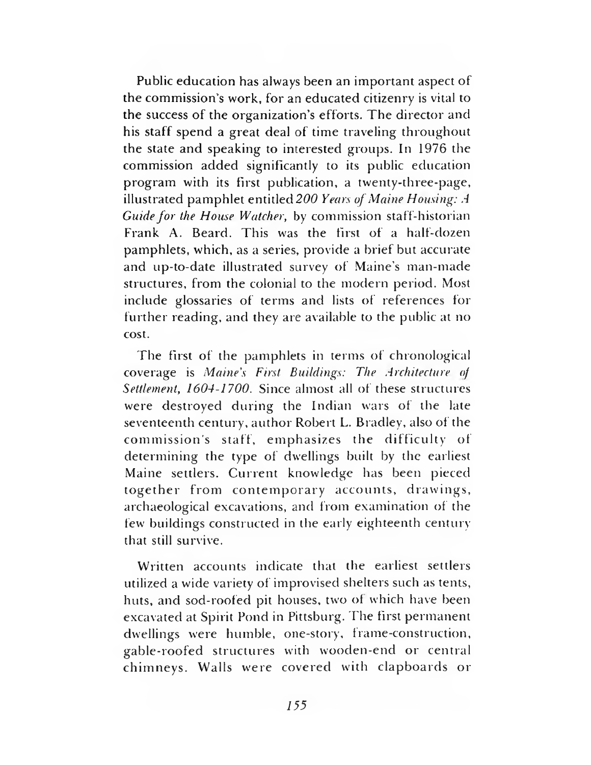Public education has always been an important aspect of the commission's work, for an educated citizenry is vital to the success of the organization's efforts. The director and his staff spend a great deal of time traveling throughout the state and speaking to interested groups. In 1976 the commission added significantly to its public education program with its first publication, a twenty-three-page, illustrated pamphlet entitled *200 Years of Maine Housing: A Guide for the House Watcher,* by commission staff-historian Frank A. Beard. This was the first of a half-dozen pamphlets, which, as a series, provide a brief but accurate and up-to-date illustrated survey of Maine's man-made structures, from the colonial to the modern period. Most include glossaries of terms and lists of references for further reading, and they are available to the public at no cost.

The first of the pamphlets in terms of chronological coverage is *Maine's First Buildings: The Architecture of Settlement, 1604-1700.* Since almost all of these structures were destroyed during the Indian wars of the late seventeenth century, author Robert L. Bradley, also of the commission's staff, emphasizes the difficulty of determining the type of dwellings built by the earliest Maine settlers. Current knowledge has been pieced together from contemporary accounts, drawings, archaeological excavations, and from examination of the few buildings constructed in the early eighteenth century that still survive.

Written accounts indicate that the earliest settlers utilized a wide variety of improvised shelters such as tents, huts, and sod-roofed pit houses, two of which have been excavated at Spirit Pond in Pittsburg. The first permanent dwellings were humble, one-story, frame-construction, gable-roofed structures with wooden-end or central chimneys. Walls were covered with clapboards or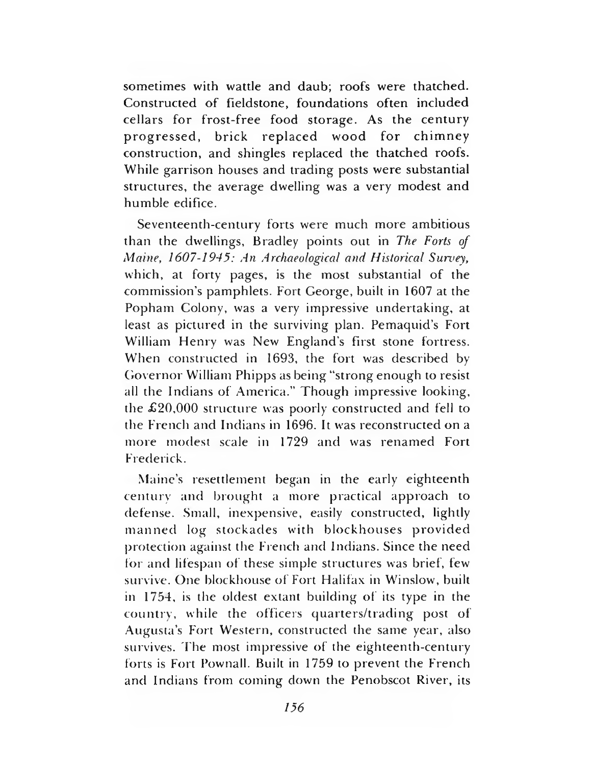sometimes with wattle and daub; roofs were thatched. Constructed of fieldstone, foundations often included cellars for frost-free food storage. As the century progressed, brick replaced wood for chimney construction, and shingles replaced the thatched roofs. While garrison houses and trading posts were substantial structures, the average dwelling was a very modest and humble edifice.

Seventeenth-century forts were much more ambitious than the dwellings, Bradley points out in *The Forts of Maine, 1607-1945: An Archaeological and Historical Survey,* which, at forty pages, is the most substantial of the commission's pamphlets. Fort George, built in 1607 at the Popham Colony, was a very impressive undertaking, at least as pictured in the surviving plan. Pemaquid's Fort William Henry was New England's first stone fortress. When constructed in 1693, the fort was described by Governor William Phipps as being "strong enough to resist all the Indians of America." Though impressive looking, the £20,000 structure was poorly constructed and fell to the French and Indians in 1696. It was reconstructed on a more modest scale in 1729 and was renamed Fort Frederick.

Maine's resettlement began in the early eighteenth century and brought a more practical approach to defense. Small, inexpensive, easily constructed, lightly manned log stockades with blockhouses provided protection against the French and Indians. Since the need for and lifespan of these simple structures was brief, few survive. One blockhouse of Fort Halifax in Winslow, built in 1754, is the oldest extant building of its type in the country, while the officers quarters/trading post of Augusta's Fort Western, constructed the same year, also survives. The most impressive of the eighteenth-century forts is Fort Pownall. Built in 1759 to prevent the French and Indians from coming down the Penobscot River, its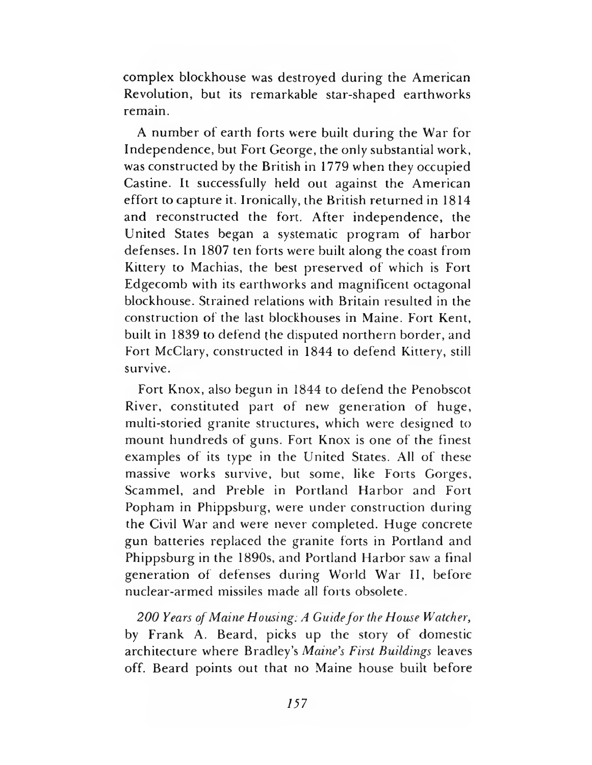complex blockhouse was destroyed during the American Revolution, but its remarkable star-shaped earthworks remain.

A num ber of earth forts were built during the War for Independence, but Fort George, the only substantial work, was constructed by the British in 1779 when they occupied Castine. It successfully held out against the American effort to capture it. Ironically, the British returned in 1814 and reconstructed the fort. After independence, the United States began a systematic program of harbor defenses. In 1807 ten forts were built along the coast from Kittery to Machias, the best preserved of which is Fort Edgecomb with its earthworks and magnificent octagonal blockhouse. Strained relations with Britain resulted in the construction of the last blockhouses in Maine. Fort Kent, built in 1839 to defend the disputed northern border, and Fort McClary, constructed in 1844 to defend Kittery, still survive.

Fort Knox, also begun in 1844 to defend the Penobscot River, constituted part of new generation of huge, multi-storied granite structures, which were designed to mount hundreds of guns. Fort Knox is one of the finest examples of its type in the United States. All of these massive works survive, but some, like Forts Gorges, Scammel, and Preble in Portland Harbor and Fort Popham in Phippsburg, were under construction during the Civil War and were never completed. Huge concrete gun batteries replaced the granite forts in Portland and Phippsburg in the 1890s, and Portland Harbor saw a final generation of defenses during World War II, before nuclear-armed missiles made all forts obsolete.

200 Years of Maine Housing: A Guide for the House Watcher, by Frank A. Beard, picks up the story of domestic architecture where Bradley's *Maine's First Buildings* leaves off. Beard points out that no Maine house built before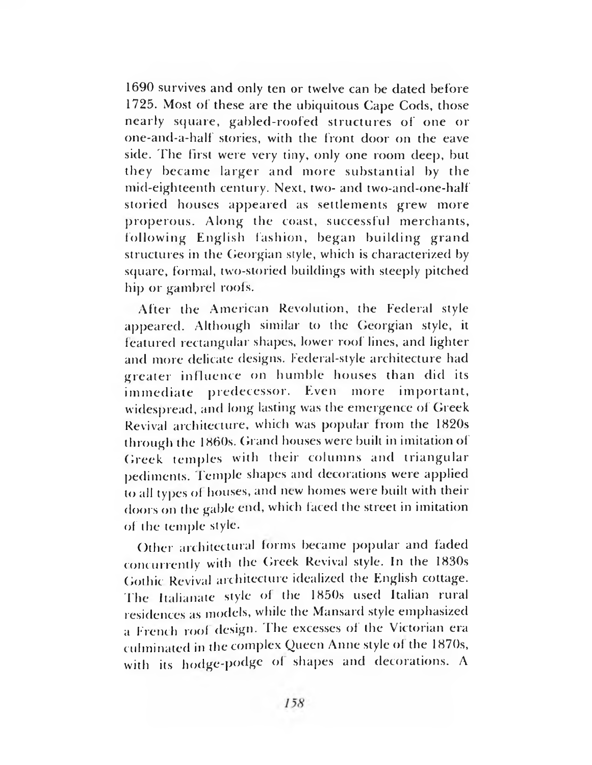1690 survives and only ten or twelve can be dated before 1725. Most of these are the ubiquitous Cape Cods, those nearly square, gabled-roofed structures of one or one-and-a-half stories, with the front door on the eave side. The first were very tiny, only one room deep, but they became larger and more substantial by the mid-eighteenth century. Next, two- and two-and-one-half storied houses appeared as settlements grew more properous. Along the coast, successful merchants, following English fashion, began building grand structures in the Georgian style, which is characterized by square, formal, two-storied buildings with steeply pitched hip or gambrel roofs.

After the American Revolution, the Federal style appeared. Although similar to the Georgian style, it featured rectangular shapes, lower roof lines, and lighter and more delicate designs. Federal-style architecture had greater influence on humble houses than did its immediate predecessor. Even more important, widespread, and long lasting was the emergence of Greek Revival architecture, which was popular from the 1820s through the 1860s. Grand houses were built in imitation of Greek temples with their columns and triangular pediments. Temple shapes and decorations were applied to all types of houses, and new homes were built with their doors on the gable end, which faced the street in imitation of the temple style.

Other architectural forms became popular and faded concurrently with the Greek Revival style. In the 1830s Gothic Revival architecture idealized the English cottage. The Italianate style of the 1850s used Italian rural residences as models, while the Mansard style emphasized a French roof design. The excesses of the Victorian era culminated in the complex Queen Anne style of the 1870s, with its hodge-podge of shapes and decorations. A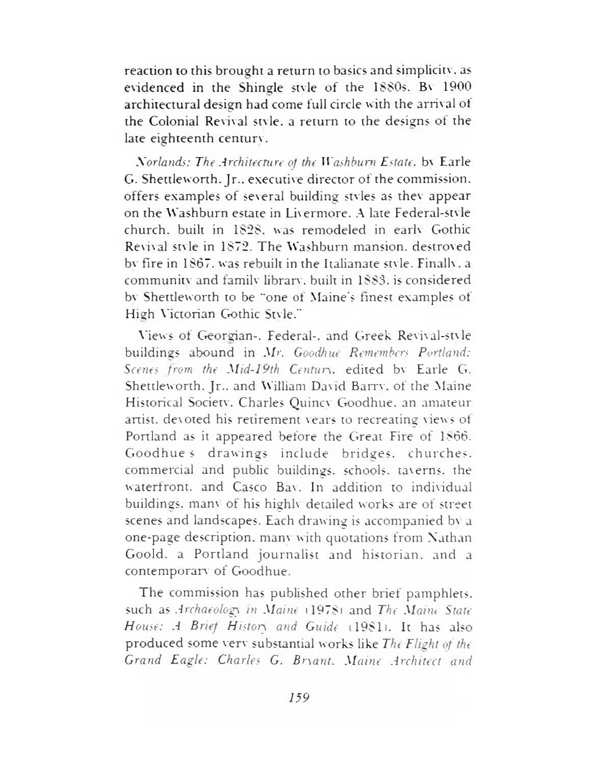reaction to this brought a return to basics and simplicity, as evidenced in the Shingle style of the 1880s. By 1900 architectural design had come full circle with the arrival of the Colonial Revival style. a return to the designs of the late eighteenth century.

*Norlands: The Architecture of the Washburn Estate.* bv Earle G. Shettleworth. Jr., executive director of the commission, offers examples of several building styles as thev appear on the Washburn estate in Livermore. A late Federal-style church, built in 1828. was remodeled in earlv Gothic Revival stvle in 1872. The Washburn mansion, destroyed bv fire in 1867. was rebuilt in the Italianate stvle. Finally, a community and family library, built in 1888. is considered bv Shettleworth to be "one of Maine's finest examples of High Victorian Gothic Stvle."

Mews of Georgian-. Federal-, and Greek Revival-stv le buildings abound in *Mr. Goodhue Remembers Portland: Scenes from the Mid-19th Century,* edited bv Earle C». Shettleworth. Jr., and William David Barrv. of the Maine Historical Society. Charles Quincv Goodhue, an amateur artist, devoted his retirement vears to recreating views of Portland as it appeared before the Great Fire of 1866. Goodhues drawings include bridges, churches, commercial and public buildings, schools, taverns, the waterfront, and Casco Bav. In addition to individual buildings, many of his highly detailed works are of street scenes and landscapes. Each drawing is accompanied bv a one-page description, manv with quotations from Nathan Goold. a Portland journalist and historian, and a contemporary of Goodhue.

The commission has published other brief pamphlets, such as *Archaeology in Maine* (1978) and *The Maine State House: A Brie'f Histoiy and Guide* (1981). It has also produced some verv substantial works like *Tin Flight of the Grand Eagle: Charles G. Bryant. Maine Architect and*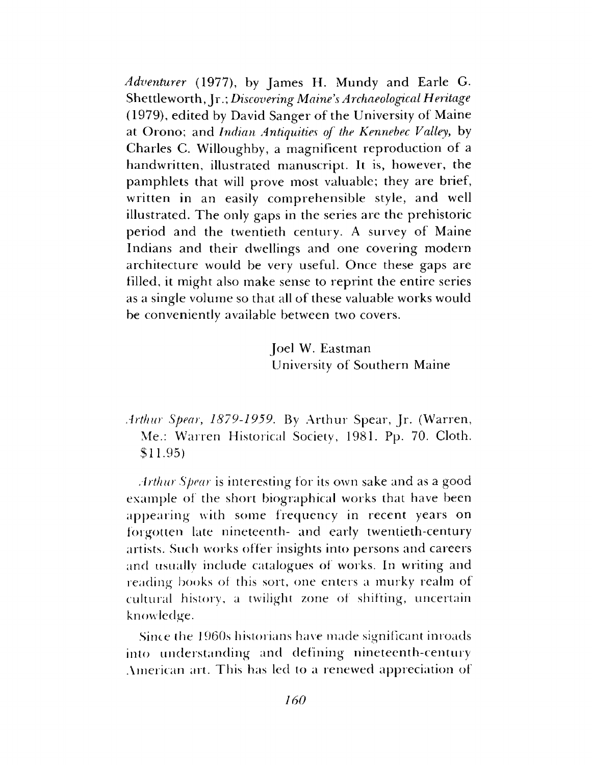*Adventurer* (1977), by James H. Mundy and Earle G. Shetdeworth, Jr.; *Discovering Maine's Archaeological Heritage* (1979), edited by David Sanger of the University of Maine at Orono; and *Indian Antiquities of the Kennebec Valley*, by Charles C. Willoughby, a magnificent reproduction of a handwritten, illustrated manuscript. It is, however, the pamphlets that will prove most valuable; they are brief, written in an easily comprehensible style, and well illustrated. The only gaps in the series are the prehistoric period and the twentieth century. A survey of Maine Indians and their dwellings and one covering modern architecture would be very useful. Once these gaps are filled, it might also make sense to reprint the entire series as a single volume so that all of these valuable works would be conveniently available between two covers.

> Joel W. Eastman University of Southern Maine

*Arthur Spear*, *1879-1959.* By Arthur Spear, Jr. (Warren, Me.: Warren Historical Society, 1981. Pp. 70. Cloth. \$11.95)

*Arthur Spear* is interesting for its own sake and as a good example of the short biographical works that have been appearing with some frequency in recent years on forgotten late nineteenth- and early twentieth-century artists. Such works offer insights into persons and careers and usually include catalogues of works. In writing and reading books of this sort, one enters a murky realm of cultural history, a twilight zone of shifting, uncertain knowledge.

Since the 1960s historians have made significant inroads into understanding and defining nineteenth-century American art. This has led to a renewed appreciation of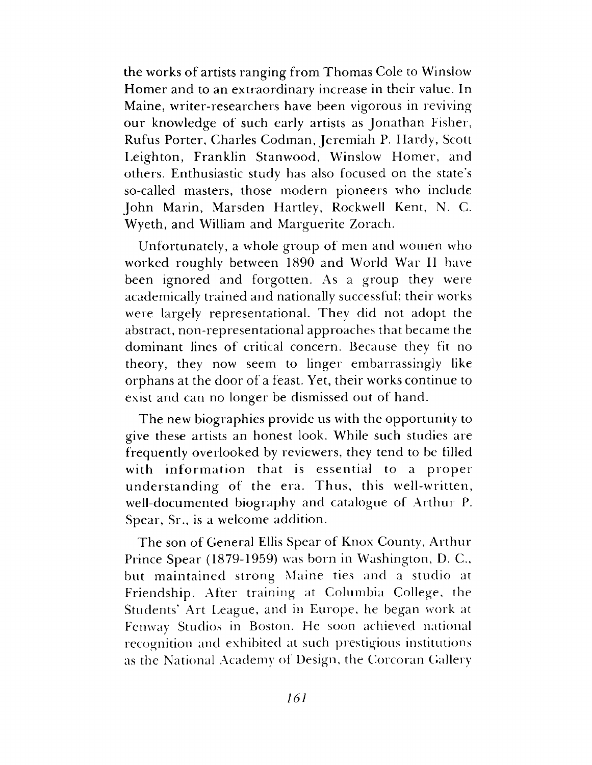the works of artists ranging from Thomas Cole to Winslow Homer and to an extraordinary increase in their value. In Maine, writer-researchers have been vigorous in reviving our knowledge of such early artists as Jonathan Fisher, Rufus Porter, Charles Codman, Jeremiah P. Hardy, Scott Leighton, Franklin Stanwood, Winslow Homer, and others. Enthusiastic study has also focused on the state's so-called masters, those modern pioneers who include John Marin, Marsden Hartley, Rockwell Kent, N. C. Wyeth, and William and Marguerite Zorach.

Unfortunately, a whole group of men and women who worked roughly between 1890 and World War II have been ignored and forgotten. As a group they were academically trained and nationally successful; their works were largely representational. They did not adopt the abstract, non-representational approaches that became the dominant lines of critical concern. Because they fit no theory, they now seem to linger embarrassingly like orphans at the door of a feast. Yet, their works continue to exist and can no longer be dismissed out of hand.

The new biographies provide us with the opportunity to give these artists an honest look. While such studies are frequently overlooked by reviewers, they tend to be Filled with information that is essential to a proper understanding of the era. Thus, this well-written, well-documented biography and catalogue of Arthur P. Spear, Sr., is a welcome addition.

The son of General Ellis Spear of Knox County, Arthur Prince Spear (1879-1959) was born in Washington, D. C., but m aintained strong Maine ties and a studio at Friendship. After training at Columbia College, the Students' Art League, and in Europe, he began work at Fenway Studios in Boston. He soon achieved national recognition and exhibited at such prestigious institutions as the National Academy of Design, the Corcoran Gallery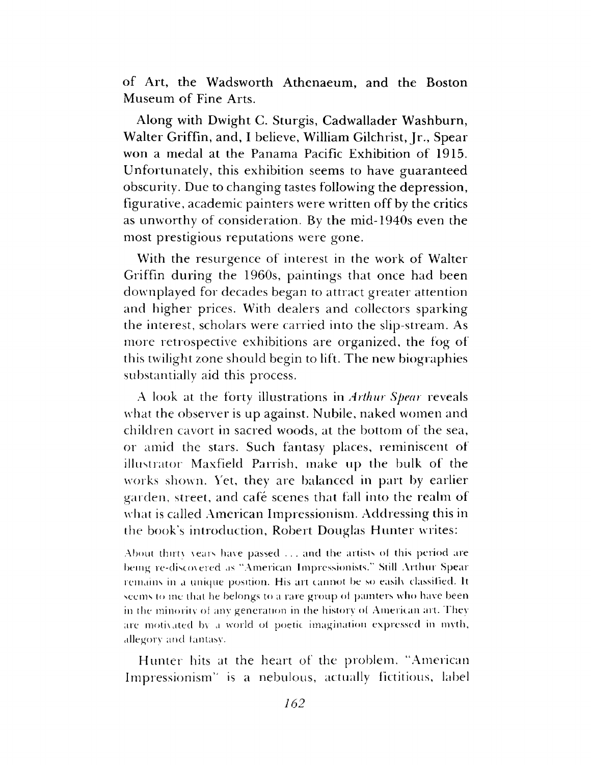of Art, the Wadsworth Athenaeum, and the Boston Museum of Fine Arts.

Along with Dwight C. Sturgis, Cadwallader Washburn, Walter Griffin, and, I believe, William Gilchrist, Jr., Spear won a medal at the Panama Pacific Exhibition of 1915. Unfortunately, this exhibition seems to have guaranteed obscurity. Due to changing tastes following the depression, figurative, academic painters were written off by the critics as unworthy of consideration. By the mid-1940s even the most prestigious reputations were gone.

With the resurgence of interest in the work of Walter Griffin during the 1960s, paintings that once had been downplayed for decades began to attract greater attention and higher prices. With dealers and collectors sparking the interest, scholars were carried into the slip-stream. As more retrospective exhibitions are organized, the fog of this twilight zone should begin to lift. The new biographies substantially aid this process.

A look at the forty illustrations in *Arthur Spear* reveals what the observer is up against. Nubile, naked women and children cavort in sacred woods, at the bottom of the sea, or amid the stars. Such fantasy places, reminiscent of illustrator Maxfield Parrish, make up the bulk of the works shown. Yet, they are balanced in part by earlier garden, street, and cafe scenes that fall into the realm of what is called American Impressionism. Addressing this in the book's introduction, Robert Douglas Hunter writes:

About thirtv vears have passed . . . and the artists ol this period are being re-discovered as "American Impressionists." Still Arthur Spear remains in a unique position. His art cannot be so easih classified. It seems to me dial he belongs to a rare group ol painters who have been in the minority of any generation in the history ol American art. They are motivated bv a world of poetic imagination expressed in myth, allegory and fantasy.

Hunter hits at the heart of the problem. "American Impressionism'' is a nebulous, actually fictitious, label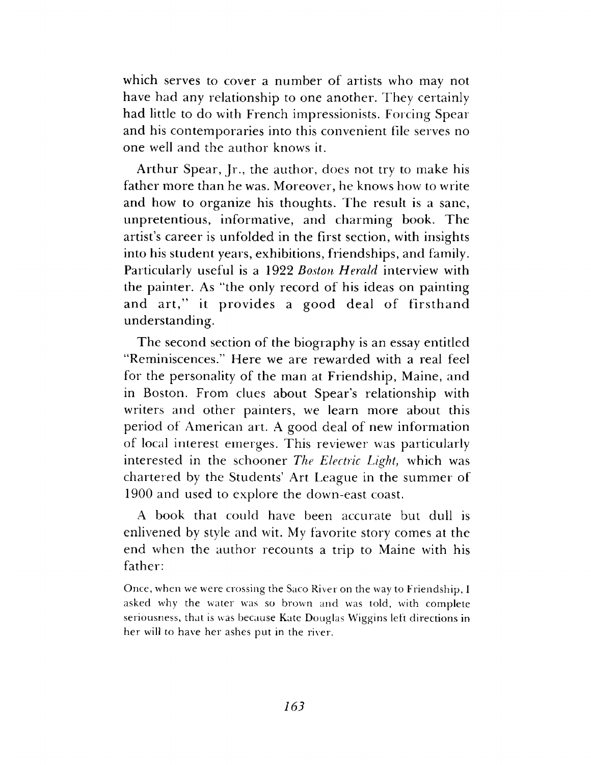which serves to cover a number of artists who may not have had any relationship to one another. They certainly had little to do with French impressionists. Forcing Spear and his contemporaries into this convenient file serves no one well and the author knows it.

Arthur Spear, Jr., the author, does not try to make his father more than he was. Moreover, he knows how to write and how to organize his thoughts. The result is a sane, unpretentious, informative, and charming book. The artist's career is unfolded in the first section, with insights into his student years, exhibitions, friendships, and family. Particularly useful is a 1922 *Boston Herald* interview with the painter. As "the only record of his ideas on painting and art," it provides a good deal of firsthand understanding.

The second section of the biography is an essay entitled "Reminiscences." Here we are rewarded with a real feel for the personality of the man at Friendship, Maine, and in Boston. From clues about Spear's relationship with writers and other painters, we learn more about this period of American art. A good deal of new information of local interest emerges. This reviewer was particularly interested in the schooner *The Electric Light*, which was chartered by the Students' Art League in the summer of 1900 and used to explore the down-east coast.

A book that could have been accurate but dull is enlivened by style and wit. My favorite story comes at the end when the author recounts a trip to Maine with his father:

Once, when we were crossing the Saco River on the way to Friendship, I asked why the water was so brown and was told, with complete seriousness, that is was because Kate Douglas Wiggins left directions in her will to have her ashes put in the river.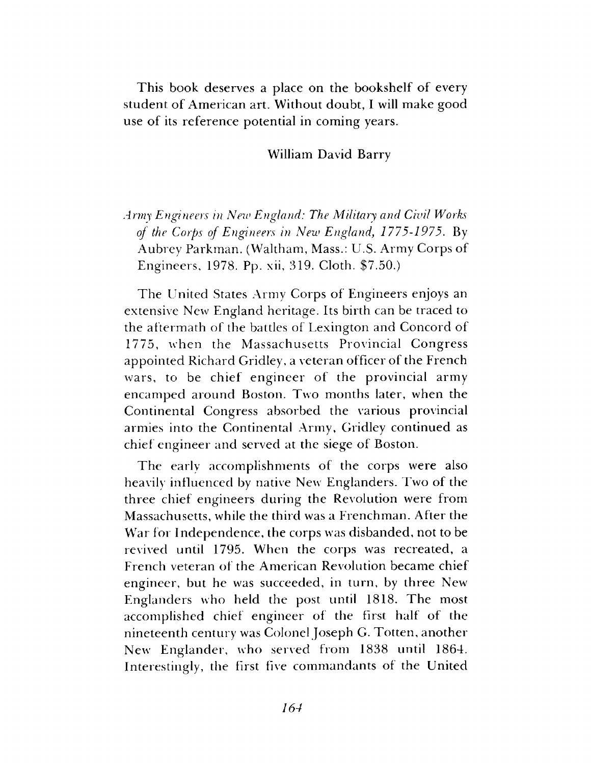This book deserves a place on the bookshelf of every student of American art. Without doubt, I will make good use of its reference potential in coming years.

#### William David Barry

# *Army Engineers in New England: The Military and Civil Works of the Corps of Engineers in New England} 1775-1975*. By Aubrey Parkman. (Waltham, Mass.: U.S. Army Corps of Engineers, 1978. Pp. xii, 319. Cloth. \$7.50.)

The United States Army Corps of Engineers enjoys an extensive New England heritage. Its birth can be traced to the aftermath of the battles of Lexington and Concord of 1775, when the Massachusetts Provincial Congress appointed Richard Gridley, a veteran officer of the French wars, to be chief engineer of the provincial army encamped around Boston. Two months later, when the Continental Congress absorbed the various provincial armies into the Continental Army, Gridley continued as chief engineer and served at the siege of Boston.

The early accomplishments of the corps were also heavily influenced by native New Englanders. Two of the three chief engineers during the Revolution were from Massachusetts, while the third was a Frenchman. After the War for Independence, the corps was disbanded, not to be revived until 1795. When the corps was recreated, a French veteran of the American Revolution became chief engineer, but he was succeeded, in turn, by three New Englanders who held the post until 1818. The most accomplished chief engineer of the first half of the nineteenth century was Colonel Joseph G. Totten, another New Englander, who served from 1838 until 1864. Interestingly, the first five commandants of the United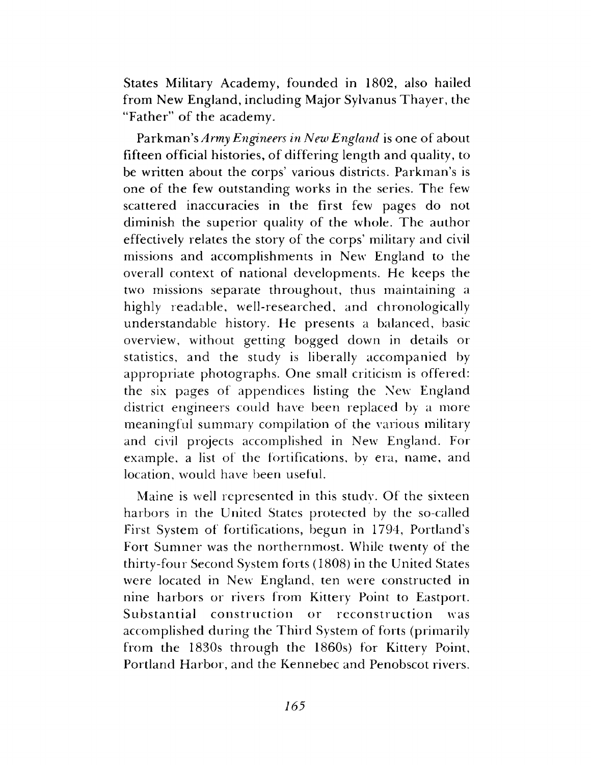States Military Academy, founded in 1802, also hailed from New England, including Major Sylvanus Thayer, the "Father" of the academy.

Parkman's *Army Engineers in New England* is one of about fifteen official histories, of differing length and quality, to be written about the corps' various districts. Parkman's is one of the few outstanding works in the series. The few scattered inaccuracies in the first few pages do not diminish the superior quality of the whole. The author effectively relates the story of the corps' military and civil missions and accomplishments in New England to the overall context of national developments. He keeps the two missions separate throughout, thus maintaining a highly readable, well-researched, and chronologically understandable history. He presents a balanced, basic overview, without getting bogged down in details or statistics, and the study is liberally accompanied by appropriate photographs. One small criticism is offered: the six pages of appendices listing the New England district engineers could have been replaced by a more meaningful summary compilation of the various military and civil projects accomplished in New England. For example, a list of the fortifications, by era, name, and location, would have been useful.

Maine is well represented in this study. Of the sixteen harbors in the United States protected by the so-called First System of fortifications, begun in 1794, Portland's Fort Sumner was the northernmost. While twenty of the thirty-four Second System forts (1808) in the United States were located in New England, ten were constructed in nine harbors or rivers from Kittery Point to Eastport. Substantia] construction or reconstruction was accomplished during the Third System of forts (primarily from the 1830s through the 1860s) for Kittery Point, Portland Harbor, and the Kennebec and Penobscot rivers.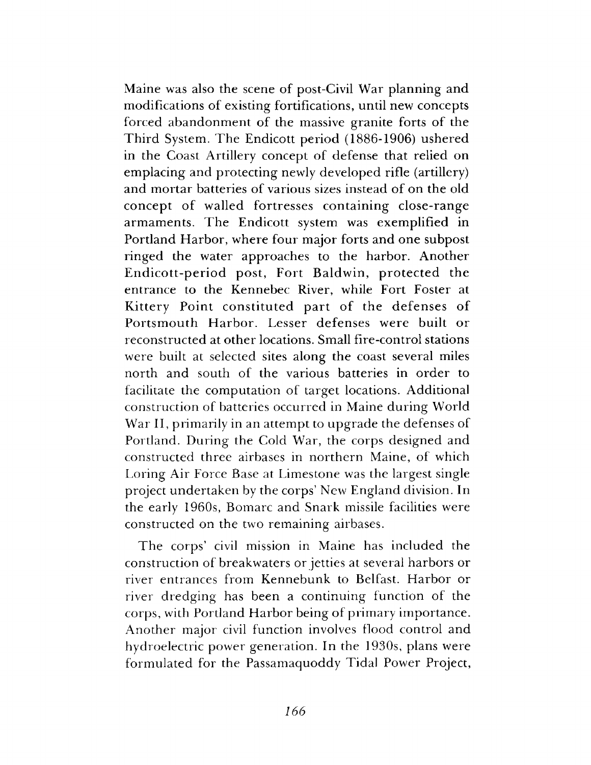Maine was also the scene of post-Civil War planning and modifications of existing fortifications, until new concepts forced abandonment of the massive granite forts of the Third System. The Endicott period (1886-1906) ushered in the Coast Artillery concept of defense that relied on emplacing and protecting newly developed rifle (artillery) and mortar batteries of various sizes instead of on the old concept of walled fortresses containing close-range armaments. The Endicott system was exemplified in Portland Harbor, where four major forts and one subpost ringed the water approaches to the harbor. Another Endicott-period post, Fort Baldwin, protected the entrance to the Kennebec River, while Fort Foster at Kittery Point constituted part of the defenses of Portsmouth Harbor. Lesser defenses were built or reconstructed at other locations. Small fire-control stations were built at selected sites along the coast several miles north and south of the various batteries in order to facilitate the computation of target locations. Additional construction of batteries occurred in Maine during World War II, primarily in an attempt to upgrade the defenses of Portland. During the Cold War, the corps designed and constructed three airbases in northern Maine, of which Loring Air Force Base at Limestone was the largest single project undertaken by the corps' New England division. In the early 1960s, Bomarc and Snark missile facilities were constructed on the two remaining airbases.

The corps' civil mission in Maine has included the construction of breakwaters or jetties at several harbors or river entrances from Kennebunk to Belfast. Harbor or river dredging has been a continuing function of the corps, with Portland Harbor being of primary importance. Another major civil function involves flood control and hydroelectric power generation. In the 1930s, plans were formulated for the Passamaquoddy Tidal Power Project,